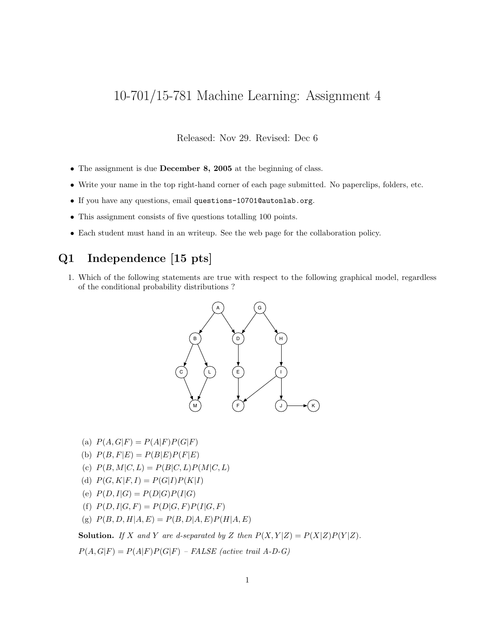# 10-701/15-781 Machine Learning: Assignment 4

Released: Nov 29. Revised: Dec 6

- The assignment is due **December 8, 2005** at the beginning of class.
- Write your name in the top right-hand corner of each page submitted. No paperclips, folders, etc.
- If you have any questions, email questions-10701@autonlab.org.
- This assignment consists of five questions totalling 100 points.
- Each student must hand in an writeup. See the web page for the collaboration policy.

#### Q1 Independence [15 pts]

1. Which of the following statements are true with respect to the following graphical model, regardless of the conditional probability distributions ?



- (a)  $P(A, G|F) = P(A|F)P(G|F)$
- (b)  $P(B, F|E) = P(B|E)P(F|E)$
- (c)  $P(B, M|C, L) = P(B|C, L)P(M|C, L)$
- (d)  $P(G, K|F, I) = P(G|I)P(K|I)$
- (e)  $P(D, I|G) = P(D|G)P(I|G)$
- (f)  $P(D, I|G, F) = P(D|G, F)P(I|G, F)$
- (g)  $P(B, D, H|A, E) = P(B, D|A, E)P(H|A, E)$

**Solution.** If X and Y are d-separated by Z then  $P(X, Y|Z) = P(X|Z)P(Y|Z)$ .

 $P(A, G|F) = P(A|F)P(G|F) - FALSE$  (active trail A-D-G)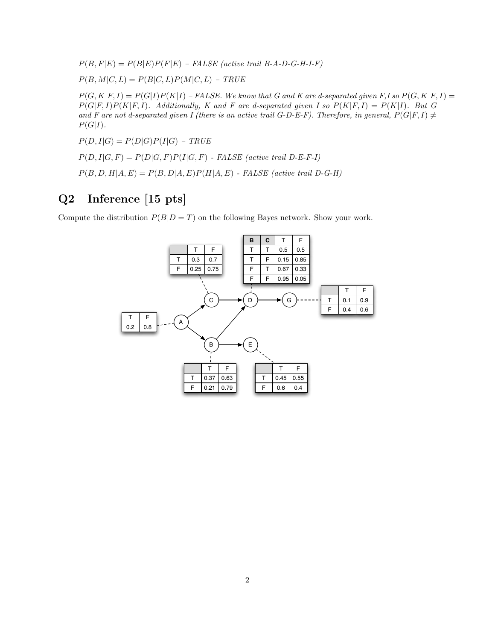$P(B, F|E) = P(B|E)P(F|E) - FALSE$  (active trail B-A-D-G-H-I-F)

 $P(B, M|C, L) = P(B|C, L)P(M|C, L) - TRUE$ 

 $P(G, K|F, I) = P(G|I)P(K|I) - FALSE$ . We know that G and K are d-separated given F, I so  $P(G, K|F, I) =$  $P(G|F, I)P(K|F, I)$ . Additionally, K and F are d-separated given I so  $P(K|F, I) = P(K|I)$ . But G and F are not d-separated given I (there is an active trail G-D-E-F). Therefore, in general,  $P(G|F, I) \neq$  $P(G|I)$ .

 $P(D, I|G) = P(D|G)P(I|G) - TRUE$ 

 $P(D, I|G, F) = P(D|G, F)P(I|G, F)$  - FALSE (active trail D-E-F-I)

 $P(B, D, H|A, E) = P(B, D|A, E)P(H|A, E)$  - FALSE (active trail D-G-H)

### Q2 Inference [15 pts]

Compute the distribution  $P(B|D = T)$  on the following Bayes network. Show your work.

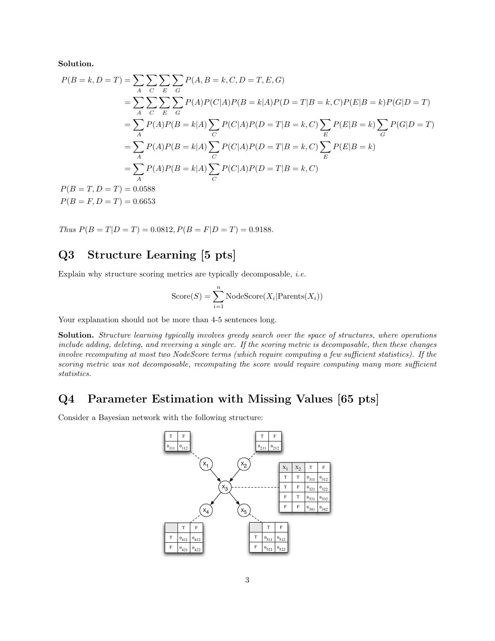Solution.

$$
P(B = k, D = T) = \sum_{A} \sum_{C} \sum_{E} \sum_{G} P(A, B = k, C, D = T, E, G)
$$
  
= 
$$
\sum_{A} \sum_{C} \sum_{E} \sum_{G} P(A)P(C|A)P(B = k|A)P(D = T|B = k, C)P(E|B = k)P(G|D = T)
$$
  
= 
$$
\sum_{A} P(A)P(B = k|A) \sum_{C} P(C|A)P(D = T|B = k, C) \sum_{E} P(E|B = k) \sum_{G} P(G|D = T)
$$
  
= 
$$
\sum_{A} P(A)P(B = k|A) \sum_{C} P(C|A)P(D = T|B = k, C) \sum_{E} P(E|B = k)
$$
  
= 
$$
\sum_{A} P(A)P(B = k|A) \sum_{C} P(C|A)P(D = T|B = k, C)
$$
  

$$
P(B = T, D = T) = 0.0588
$$
  

$$
P(B = F, D = T) = 0.6653
$$

Thus  $P(B = T|D = T) = 0.0812, P(B = F|D = T) = 0.9188.$ 

## Q3 Structure Learning [5 pts]

Explain why structure scoring metrics are typically decomposable, i.e.

$$
Score(S) = \sum_{i=1}^{n}NodeScore(X_i | Parents(X_i))
$$

Your explanation should not be more than 4-5 sentences long.

Solution. Structure learning typically involves greedy search over the space of structures, where operations include adding, deleting, and reversing a single arc. If the scoring metric is decomposable, then these changes involve recomputing at most two NodeScore terms (which require computing a few sufficient statistics). If the scoring metric was not decomposable, recomputing the score would require computing many more sufficient statistics.

#### Q4 Parameter Estimation with Missing Values [65 pts]

Consider a Bayesian network with the following structure:

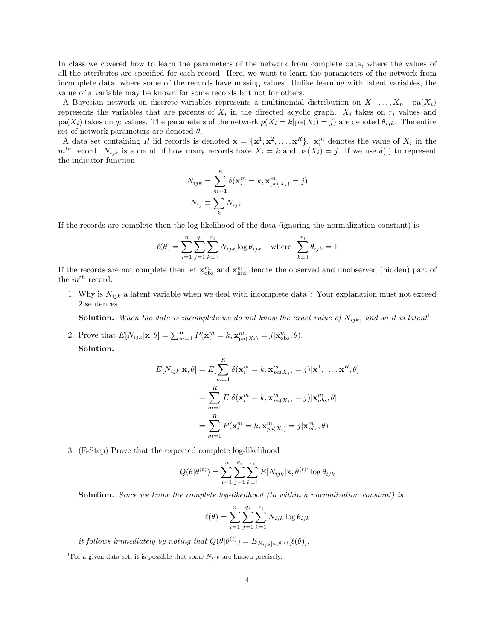In class we covered how to learn the parameters of the network from complete data, where the values of all the attributes are specified for each record. Here, we want to learn the parameters of the network from incomplete data, where some of the records have missing values. Unlike learning with latent variables, the value of a variable may be known for some records but not for others.

A Bayesian network on discrete variables represents a multinomial distribution on  $X_1, \ldots, X_n$ . pa $(X_i)$ represents the variables that are parents of  $X_i$  in the directed acyclic graph.  $X_i$  takes on  $r_i$  values and  $pa(X_i)$  takes on  $q_i$  values. The parameters of the network  $p(X_i = k|pa(X_i) = j)$  are denoted  $\theta_{ijk}$ . The entire set of network parameters are denoted  $\theta$ .

A data set containing R iid records is denoted  $\mathbf{x} = {\mathbf{x}^1, \mathbf{x}^2, \dots, \mathbf{x}^R}$ .  $\mathbf{x}_i^m$  denotes the value of  $X_i$  in the  $m^{th}$  record.  $N_{ijk}$  is a count of how many records have  $X_i = k$  and  $pa(X_i) = j$ . If we use  $\delta(\cdot)$  to represent the indicator function

$$
N_{ijk} = \sum_{m=1}^{R} \delta(\mathbf{x}_i^m = k, \mathbf{x}_{pa(X_i)}^m = j)
$$

$$
N_{ij} \equiv \sum_k N_{ijk}
$$

If the records are complete then the log-likelihood of the data (ignoring the normalization constant) is

$$
\ell(\theta) = \sum_{i=1}^{n} \sum_{j=1}^{q_i} \sum_{k=1}^{r_i} N_{ijk} \log \theta_{ijk} \text{ where } \sum_{k=1}^{r_i} \theta_{ijk} = 1
$$

If the records are not complete then let  $\mathbf{x}_{obs}^m$  and  $\mathbf{x}_{hid}^m$  denote the observed and unobserved (hidden) part of the  $m^{th}$  record.

1. Why is  $N_{ijk}$  a latent variable when we deal with incomplete data ? Your explanation must not exceed 2 sentences.

**Solution.** When the data is incomplete we do not know the exact value of  $N_{ijk}$ , and so it is latent<sup>1</sup>

2. Prove that  $E[N_{ijk}|\mathbf{x}, \theta] = \sum_{m=1}^{R} P(\mathbf{x}_i^m = k, \mathbf{x}_{pa(X_i)}^m = j | \mathbf{x}_{obs}^m, \theta)$ . Solution.

$$
E[N_{ijk}|\mathbf{x},\theta] = E[\sum_{m=1}^{R} \delta(\mathbf{x}_i^m = k, \mathbf{x}_{pa(X_i)}^m = j)|\mathbf{x}^1, \dots, \mathbf{x}^R, \theta]
$$
  
= 
$$
\sum_{m=1}^{R} E[\delta(\mathbf{x}_i^m = k, \mathbf{x}_{pa(X_i)}^m = j)|\mathbf{x}_{obs}^m, \theta]
$$
  
= 
$$
\sum_{m=1}^{R} P(\mathbf{x}_i^m = k, \mathbf{x}_{pa(X_i)}^m = j|\mathbf{x}_{obs}^m, \theta)
$$

3. (E-Step) Prove that the expected complete log-likelihood

$$
Q(\theta | \theta^{(t)}) = \sum_{i=1}^{n} \sum_{j=1}^{q_i} \sum_{k=1}^{r_i} E[N_{ijk} | \mathbf{x}, \theta^{(t)}] \log \theta_{ijk}
$$

Solution. Since we know the complete log-likelihood (to within a normalization constant) is

$$
\ell(\theta) = \sum_{i=1}^{n} \sum_{j=1}^{q_i} \sum_{k=1}^{r_i} N_{ijk} \log \theta_{ijk}
$$

it follows immediately by noting that  $Q(\theta | \theta^{(t)}) = E_{N_{ijk}|\mathbf{x}, \theta^{(t)}}[\ell(\theta)].$ 

<sup>&</sup>lt;sup>1</sup>For a given data set, it is possible that some  $N_{ijk}$  are known precisely.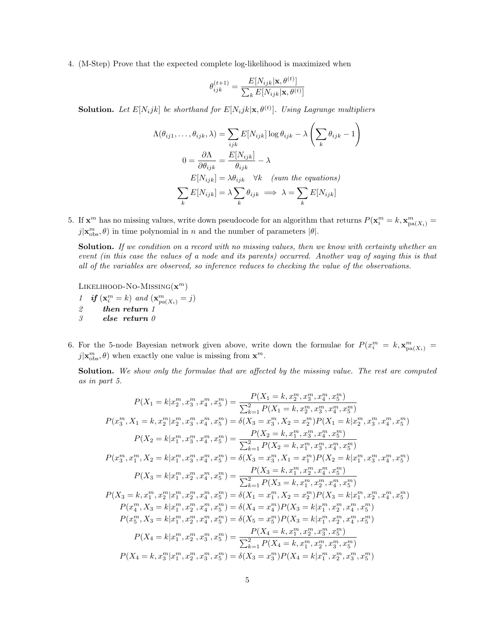4. (M-Step) Prove that the expected complete log-likelihood is maximized when

$$
\theta_{ijk}^{(t+1)} = \frac{E[N_{ijk}|\mathbf{x}, \theta^{(t)}]}{\sum_{k} E[N_{ijk}|\mathbf{x}, \theta^{(t)}]}
$$

**Solution.** Let  $E[N_ijk]$  be shorthand for  $E[N_ijk|\mathbf{x},\theta^{(t)}]$ . Using Lagrange multipliers

$$
\Lambda(\theta_{ij1}, \dots, \theta_{ijk}, \lambda) = \sum_{ijk} E[N_{ijk}] \log \theta_{ijk} - \lambda \left(\sum_k \theta_{ijk} - 1\right)
$$

$$
0 = \frac{\partial \Lambda}{\partial \theta_{ijk}} = \frac{E[N_{ijk}]}{\theta_{ijk}} - \lambda
$$

$$
E[N_{ijk}] = \lambda \theta_{ijk} \quad \forall k \quad (sum the equations)
$$

$$
\sum_k E[N_{ijk}] = \lambda \sum_k \theta_{ijk} \implies \lambda = \sum_k E[N_{ijk}]
$$

5. If  $\mathbf{x}^m$  has no missing values, write down pseudocode for an algorithm that returns  $P(\mathbf{x}_i^m = k, \mathbf{x}_{pa(X_i)}^m = k)$  $j|\mathbf{x}_{\text{obs}}^m, \theta)$  in time polynomial in n and the number of parameters  $|\theta|$ .

Solution. If we condition on a record with no missing values, then we know with certainty whether an event (in this case the values of a node and its parents) occurred. Another way of saying this is that all of the variables are observed, so inference reduces to checking the value of the observations.

LIKELIHOOD-NO-MISSING $(\mathbf{x}^m)$ 

- 1 if  $(\mathbf{x}_i^m = k)$  and  $(\mathbf{x}_{pa(X_i)}^m = j)$ 2 then return 1 3 else return 0
- 6. For the 5-node Bayesian network given above, write down the formulae for  $P(x_i^m = k, \mathbf{x}_{pa(X_i)}^m = k)$  $j|\mathbf{x}_{obs}^m, \theta)$  when exactly one value is missing from  $\mathbf{x}^m$ .

Solution. We show only the formulae that are affected by the missing value. The rest are computed as in part 5.

$$
P(X_1 = k | x_2^m, x_3^m, x_4^m, x_5^m) = \frac{P(X_1 = k, x_2^m, x_3^m, x_4^m, x_5^m)}{\sum_{k=1}^2 P(X_1 = k, x_2^m, x_3^m, x_4^m, x_5^m)}
$$
  
\n
$$
P(x_3^m, X_1 = k, x_2^m | x_2^m, x_3^m, x_4^m, x_5^m) = \delta(X_3 = x_3^m, X_2 = x_2^m) P(X_1 = k | x_2^m, x_3^m, x_4^m, x_5^m)
$$
  
\n
$$
P(X_2 = k | x_1^m, x_3^m, x_4^m, x_5^m) = \frac{P(X_2 = k, x_1^m, x_3^m, x_4^m, x_5^m)}{\sum_{k=1}^2 P(X_2 = k, x_1^m, x_3^m, x_4^m, x_5^m)}
$$
  
\n
$$
P(x_3^m, x_1^m, X_2 = k | x_1^m, x_3^m, x_4^m, x_5^m) = \delta(X_3 = x_3^m, X_1 = x_1^m) P(X_2 = k | x_1^m, x_3^m, x_4^m, x_5^m)
$$
  
\n
$$
P(X_3 = k | x_1^m, x_2^m, x_4^m, x_5^m) = \frac{P(X_3 = k, x_1^m, x_2^m, x_4^m, x_5^m)}{\sum_{k=1}^2 P(X_3 = k, x_1^m, x_2^m, x_4^m, x_5^m)}
$$
  
\n
$$
P(X_4 = k, x_1^m, x_2^m | x_1^m, x_2^m, x_4^m, x_5^m) = \delta(X_4 = x_1^m) P(X_3 = k | x_1^m, x_2^m, x_4^m, x_5^m)
$$
  
\n
$$
P(x_5^m, X_3 = k | x_1^m, x_2^m, x_4^m, x_5^m) = \delta(X_4 = x_4^m) P(X_3 = k | x_1^m, x_2^m, x_4^m, x_5^m)
$$
  
\n
$$
P(X
$$